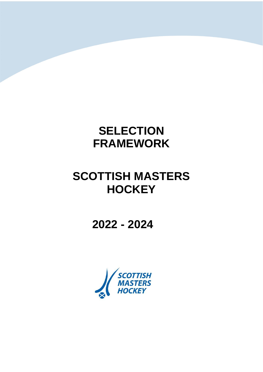## **SELECTION FRAMEWORK**

# **SCOTTISH MASTERS HOCKEY**

**2022 - 2024**

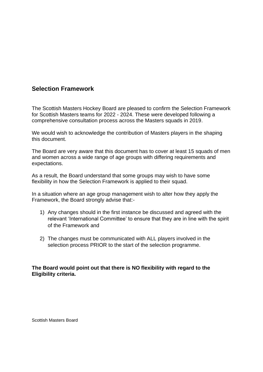### **Selection Framework**

The Scottish Masters Hockey Board are pleased to confirm the Selection Framework for Scottish Masters teams for 2022 - 2024. These were developed following a comprehensive consultation process across the Masters squads in 2019.

We would wish to acknowledge the contribution of Masters players in the shaping this document.

The Board are very aware that this document has to cover at least 15 squads of men and women across a wide range of age groups with differing requirements and expectations.

As a result, the Board understand that some groups may wish to have some flexibility in how the Selection Framework is applied to their squad.

In a situation where an age group management wish to alter how they apply the Framework, the Board strongly advise that:-

- 1) Any changes should in the first instance be discussed and agreed with the relevant 'International Committee' to ensure that they are in line with the spirit of the Framework and
- 2) The changes must be communicated with ALL players involved in the selection process PRIOR to the start of the selection programme.

### **The Board would point out that there is NO flexibility with regard to the Eligibility criteria.**

Scottish Masters Board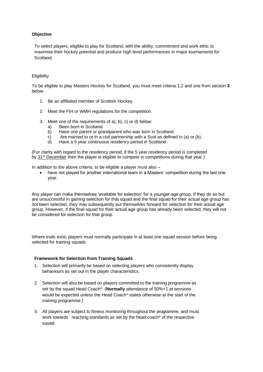#### **Objective**

To select players, eligible to play for Scotland, with the ability, commitment and work ethic to maximise their hockey potential and produce high level performances in major tournaments for Scotland.

#### **Eligibility**

To be eligible to play Masters Hockey for Scotland, you must meet criteria 1,2 and one from section **3**  below.

- 1. Be an affiliated member of Scottish Hockey.
- 2. Meet the FIH or WMH regulations for the competition.
- 3. Meet one of the requirements of a), b), c) or d) below:
	- a) Been born in Scotland.
	- b) Have one parent or grandparent who was born in Scotland.
	- c) Are married to or in a civil partnership with a Scot as defined in (a) or (b).
	- d) Have a 5 year continuous residency period in Scotland

(For clarity with regard to the residency period, if the 5 year residency period is completed by [31](x-apple-data-detectors://0/)<sup>[st](x-apple-data-detectors://0/)</sup> [December](x-apple-data-detectors://0/) then the player is eligible to compete in competitions during that year.)

In addition to the above criteria, to be eligible a player must also –

• have not played for another international team in a Masters' competition during the last one year.

Any player can make themselves 'available for selection' for a younger age group. If they do so but are unsuccessful in gaining selection for that squad and the final squad for their actual age group has not been selected, they may subsequently put themselves forward for selection for their actual age group. However, if the final squad for their actual age group has already been selected, they will not be considered for selection for that group.

Where trials exist, players must normally participate in at least one squad session before being selected for training squads

#### **Framework for Selection from Training Squads**

- 1. Selection will primarily be based on selecting players who consistently display behaviours as set out in the player characteristics.
- 2. Selection will also be based on players committed to the training programme as set by the squad Head Coach\*. (**Normally** attendance of 50%+1 at sessions would be expected unless the Head Coach\* states otherwise at the start of the training programme.)
- 3. All players are subject to fitness monitoring throughout the programme, and must work towards reaching standards as set by the head coach\* of the respective squad.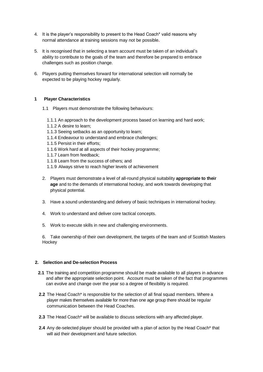- 4. It is the player's responsibility to present to the Head Coach\* valid reasons why normal attendance at training sessions may not be possible**.**
- 5. It is recognised that in selecting a team account must be taken of an individual's ability to contribute to the goals of the team and therefore be prepared to embrace challenges such as position change.
- 6. Players putting themselves forward for international selection will normally be expected to be playing hockey regularly.

#### **1 Player Characteristics**

- 1.1 Players must demonstrate the following behaviours:
	- 1.1.1 An approach to the development process based on learning and hard work;
	- 1.1.2 A desire to learn;
	- 1.1.3 Seeing setbacks as an opportunity to learn;
	- 1.1.4 Endeavour to understand and embrace challenges;
	- 1.1.5 Persist in their efforts;
	- 1.1.6 Work hard at all aspects of their hockey programme;
	- 1.1.7 Learn from feedback;
	- 1.1.8 Learn from the success of others; and
	- 1.1.9 Always strive to reach higher levels of achievement
- 2. Players must demonstrate a level of all-round physical suitability **appropriate to their age** and to the demands of international hockey, and work towards developing that physical potential.
- 3. Have a sound understanding and delivery of basic techniques in international hockey.
- 4. Work to understand and deliver core tactical concepts.
- 5. Work to execute skills in new and challenging environments.

6. Take ownership of their own development, the targets of the team and of Scottish Masters **Hockey** 

#### **2. Selection and De-selection Process**

- **2.1** The training and competition programme should be made available to all players in advance and after the appropriate selection point. Account must be taken of the fact that programmes can evolve and change over the year so a degree of flexibility is required.
- **2.2** The Head Coach\* is responsible for the selection of all final squad members. Where a player makes themselves available for more than one age group there should be regular communication between the Head Coaches.
- **2.3** The Head Coach\* will be available to discuss selections with any affected player.
- **2.4** Any de-selected player should be provided with a plan of action by the Head Coach\* that will aid their development and future selection.